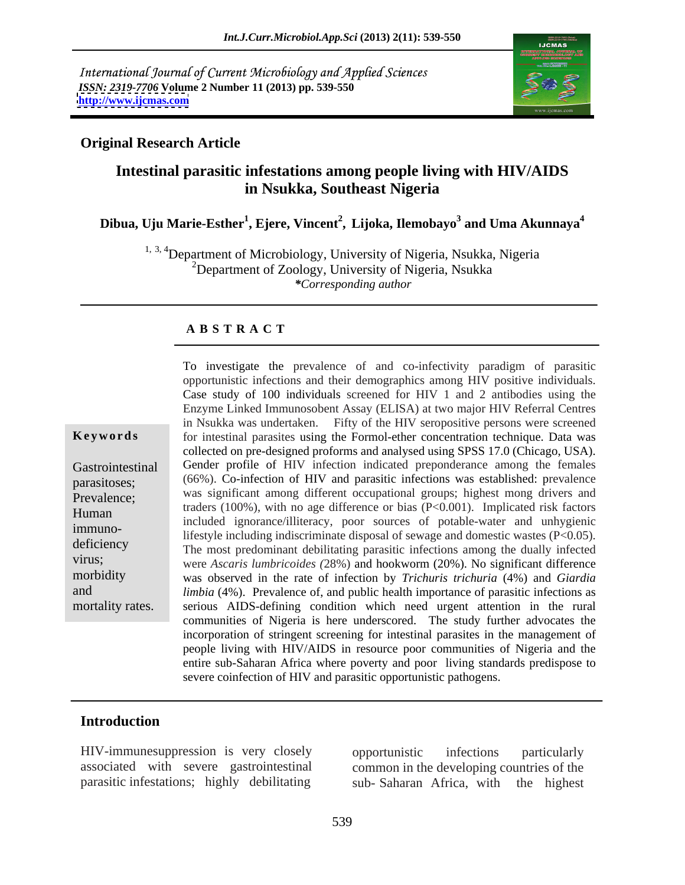International Journal of Current Microbiology and Applied Sciences *ISSN: 2319-7706* **Volume 2 Number 11 (2013) pp. 539-550 <http://www.ijcmas.com>**



#### **Original Research Article**

# **Intestinal parasitic infestations among people living with HIV/AIDS in Nsukka, Southeast Nigeria**

#### **Dibua, Uju Marie-Esther<sup>1</sup> , Ejere, Vincent<sup>2</sup> , Lijoka, Ilemobayo<sup>3</sup> and Uma Akunnaya<sup>4</sup>**

<sup>1, 3, 4</sup>Department of Microbiology, University of Nigeria, Nsukka, Nigeria <sup>2</sup>Department of Zoology, University of Nigeria, Nsukka *\*Corresponding author* 

#### **A B S T R A C T**

**Keywords** for intestinal parasites using the Formol-ether concentration technique. Data was Gastrointestinal Gender profile of HIV infection indicated preponderance among the females parasitoses; (66%). Co-infection of HIV and parasitic infections was established: prevalence Prevalence; was significant among different occupational groups; highest mong drivers and traders (100%), with no age difference or bias (P<0.001). Implicated risk factors<br>Human included improved illiteration ages courses of notella weter and unknowning immuno- lifestyle including indiscriminate disposal of sewage and domestic wastes (P<0.05). deficiency<br>The most predominant debilitating parasitic infections among the dually infected virus; were *Ascaris lumbricoides (*28%) and hookworm (20%). No significant difference morbidity was observed in the rate of infection by *Trichuris trichuria* (4%) and *Giardia*  and *limbia* (4%). Prevalence of, and public health importance of parasitic infections as mortality rates. serious AIDS-defining condition which need urgent attention in the rural To investigate the prevalence of and co-infectivity paradigm of parasitic opportunistic infections and their demographics among HIV positive individuals. Case study of <sup>100</sup> individuals screened for HIV <sup>1</sup> and <sup>2</sup> antibodies using the Enzyme Linked Immunosobent Assay (ELISA) at two major HIV Referral Centres in Nsukka was undertaken. Fifty of the HIV seropositive persons were screened collected on pre-designed proforms and analysed using SPSS 17.0 (Chicago, USA). included ignorance/illiteracy, poor sources of potable-water and unhygienic communities of Nigeria is here underscored. The study further advocates the incorporation of stringent screening for intestinal parasites in the management of people living with HIV/AIDS in resource poor communities of Nigeria and the entire sub-Saharan Africa where poverty and poor living standards predispose to severe coinfection of HIV and parasitic opportunistic pathogens.

## **Introduction**

HIV-immunesuppression is very closely parasitic infestations; highly debilitating sub-Saharan Africa, with the highest

associated with severe gastrointestinal common in the developing countries of the opportunistic infections particularly sub- Saharan Africa, with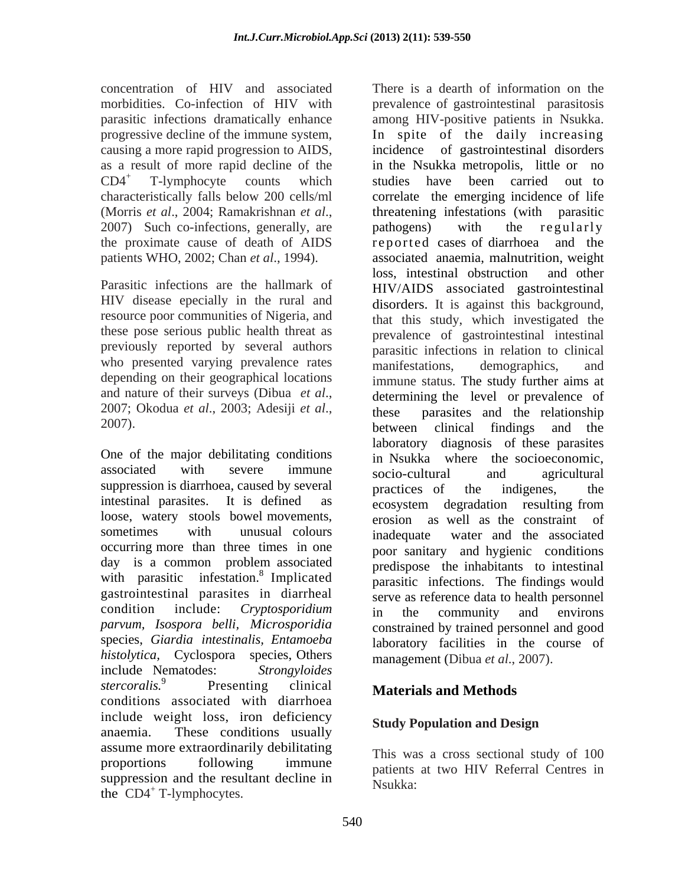causing a more rapid progression to AIDS, the proximate cause of death of AIDS

HIV disease epecially in the rural and resource poor communities of Nigeria, and these pose serious public health threat as previously reported by several authors who presented varying prevalence rates manifestations, demographics, and depending on their geographical locations

One of the major debilitating conditions associated with severe immune socio-cultural and agricultural<br>suppression is diarrhoea, caused by several practices of the indigenes, the intestinal parasites. It is defined as ecosystem degradation resulting from loose, watery stools bowel movements, occurring more than three times in one with parasitic infestation.<sup>8</sup> Implicated gastrointestinal parasites in diarrheal *parvum, Isospora belli, Microsporidia*  species, *Giardia intestinalis, Entamoeba histolytica,* Cyclospora species, Others include Nematodes: *Strongyloides stercoralis.*<sup>9</sup> Presenting clinical Materials and Methods conditions associated with diarrhoea include weight loss, iron deficiency Study Population and Design anaemia. These conditions usually budy reputation and besign assume more extraordinarily debilitating proportions following immune patients at two HIV Referral Centres in suppression and the resultant decline in the  $CD4^+$  T-lymphocytes. the  $CD4^+$  T-lymphocytes.

concentration of HIV and associated There is a dearth of information on the morbidities. Co-infection of HIV with prevalence of gastrointestinal parasitosis parasitic infections dramatically enhance among HIV-positive patients in Nsukka. progressive decline of the immune system, In spite of the daily increasing as a result of more rapid decline of the in the Nsukka metropolis, little or no  $CD4^+$  T-lymphocyte counts which studies have been carried out to characteristically falls below 200 cells/ml correlate the emerging incidence of life (Morris *et al.*, 2004; Ramakrishnan *et al.*, threatening infestations (with parasitic 2007) Such co-infections, generally, are pathogens) with the regularly patients WHO, 2002; Chan *et al*., 1994). associated anaemia, malnutrition, weight Parasitic infections are the hallmark of HIV/AIDS associated gastrointestinal and nature of their surveys (Dibua *et al.*, determining the level or prevalence of these parasites and the relationship 2007).<br>2007). <br>2007). <br>2007). associated with severe immune socio-cultural and agricultural sometimes with unusual colours inadequate water and the associated day is a common problem associated  $\overrightarrow{r}$  predispose the inhabitants to intestinal condition include: *Cryptosporidium* of gastrointestinal disorders studies have been carried out to threatening infestations (with parasitic pathogens) with the regularly r e ported cases of diarrhoea loss, intestinal obstruction and other disorders. It is against this background, that this study, which investigated the prevalence of gastrointestinal intestinal parasitic infections in relation to clinical manifestations, demographics, and immune status. The study further aims at determining the level or prevalence of these parasites and the relationship between clinical findings and the laboratory diagnosis of these parasites in Nsukka where the socioeconomic, socio-cultural and agricultural practices of the indigenes, the ecosystem degradation resulting from erosion as well as the constraint of poor sanitary and hygienic conditions predispose the inhabitants to intestinal parasitic infections. The findings would serve as reference data to health personnel in the community and environs constrained by trained personnel and good laboratory facilities in the course of management (Dibua *et al*., 2007).

# **Materials and Methods**

# **Study Population and Design**

This was a cross sectional study of 100 Nsukka: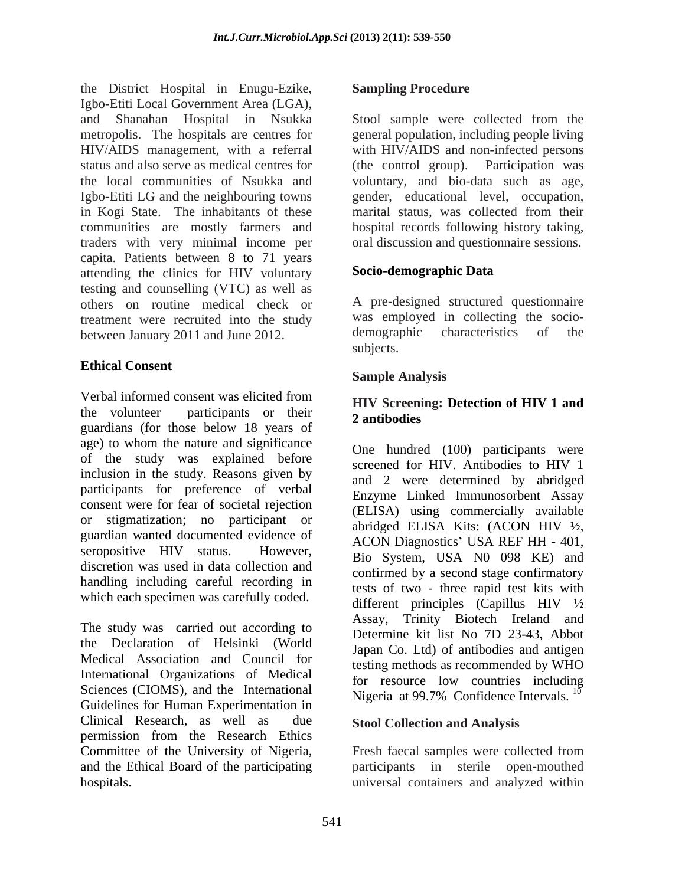the District Hospital in Enugu-Ezike, Igbo-Etiti Local Government Area (LGA), and Shanahan Hospital in Nsukka metropolis. The hospitals are centres for general population, including people living HIV/AIDS management, with a referral with HIV/AIDS and non-infected persons status and also serve as medical centres for (the control group). Participation was the local communities of Nsukka and voluntary, and bio-data such as age, Igbo-Etiti LG and the neighbouring towns in Kogi State. The inhabitants of these communities are mostly farmers and traders with very minimal income per capita. Patients between 8 to 71 years<br>attending the clinics for HIV voluntary **Socio-demographic Data** attending the clinics for HIV voluntary testing and counselling (VTC) as well as others on routine medical check or treatment were recruited into the study<br>hetween Ianuary 2011 and Iune 2012<br>demographic characteristics of the between January 2011 and June 2012. demographic demographic demographic demographic demographic demographic demographic demographic demographic demographic demographic demographic demographic demographic demographic demogr

# **Ethical Consent**

Verbal informed consent was elicited from **IMIV** Sergenting: Detection of HIV 1 and the volunteer participants or their 2 antibodies guardians (for those below 18 years of age) to whom the nature and significance of the study was explained before inclusion in the study. Reasons given by participants for preference of verbal consent were for fear of societal rejection or stigmatization; no participant or guardian wanted documented evidence of seropositive HIV status. However,  $\frac{17661 \text{ Hz}}{180 \text{ System}} = \frac{1184 \text{ N}}{184 \text{ N}} = \frac{1111 \text{ N}}{2}$ discretion was used in data collection and handling including careful recording in

The study was carried out according to the Declaration of Helsinki (World Medical Association and Council for International Organizations of Medical Sciences (CIOMS), and the International Guidelines for Human Experimentation in Clinical Research, as well as due permission from the Research Ethics Committee of the University of Nigeria, Fresh faecal samples were collected from and the Ethical Board of the participating

#### **Sampling Procedure**

Stool sample were collected from the (the control group). Participation was gender, educational level, occupation, marital status, was collected from their hospital records following history taking, oral discussion and questionnaire sessions.

## **Socio-demographic Data**

A pre-designed structured questionnaire was employed in collecting the socio demographic characteristics of the subjects.

## **Sample Analysis**

#### **HIV Screening: Detection of HIV 1 and 2 antibodies**

which each specimen was carefully coded.<br>different principles (Capillus HIV  $\frac{1}{2}$ ) One hundred (100) participants were screened for HIV. Antibodies to HIV 1 and 2 were determined by abridged Enzyme Linked Immunosorbent Assay (ELISA) using commercially available abridged ELISA Kits: (ACON HIV ½, ACON Diagnostics' USA REF HH - 401, Bio System, USA N0 098 KE) and confirmed by a second stage confirmatory tests of two - three rapid test kits with different principles (Capillus HIV ½ Assay, Trinity Biotech Ireland and Determine kit list No 7D 23-43, Abbot Japan Co. Ltd) of antibodies and antigen testing methods as recommended by WHO for resource low countries including Nigeria at 99.7% Confidence Intervals.  $^{10}$ 

#### **Stool Collection and Analysis**

hospitals. universal containers and analyzed withinFresh faecal samples were collected from participants in sterile open-mouthed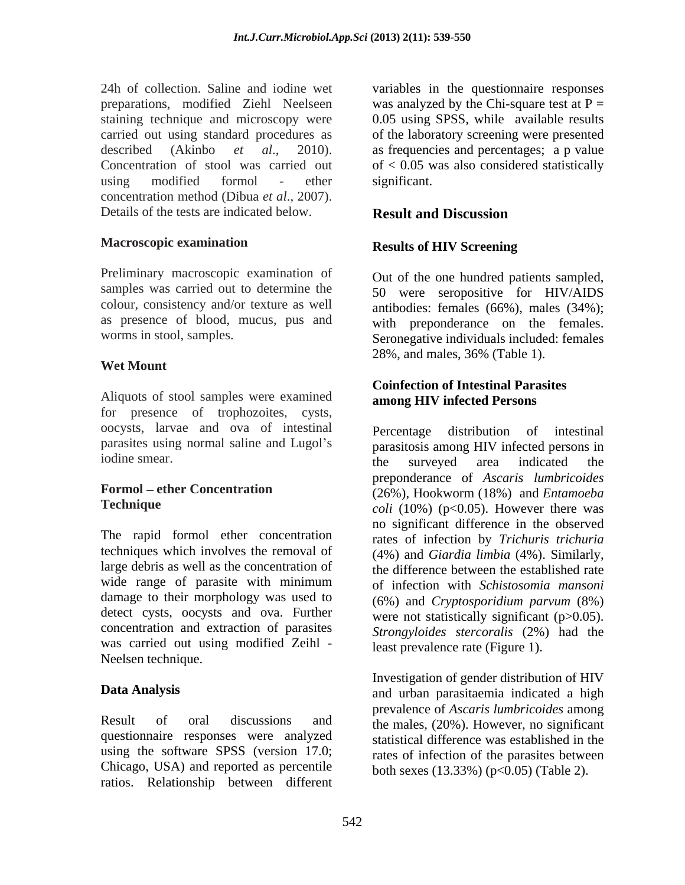24h of collection. Saline and iodine wet variables in the questionnaire responses preparations, modified Ziehl Neelseen was analyzed by the Chi-square test at P = staining technique and microscopy were carried out using standard procedures as of the laboratory screening were presented described (Akinbo *et al*., 2010). as frequencies and percentages; a p value Concentration of stool was carried out of < 0.05 was also considered statistically using modified formol - ether significant. concentration method (Dibua *et al*., 2007). Details of the tests are indicated below.

#### **Macroscopic examination**

Preliminary macroscopic examination of samples was carried out to determine the colour, consistency and/or texture as well as presence of blood, mucus, pus and

#### **Wet Mount**

Aliquots of stool samples were examined for presence of trophozoites, cysts, oocysts, larvae and ova of intestinal parasites using normal saline and Lugol's

The rapid formol ether concentration techniques which involves the removal of (4%) and *Giardia limbia* (4%). Similarly, large debris as well as the concentration of wide range of parasite with minimum damage to their morphology was used to detect cysts, oocysts and ova. Further concentration and extraction of parasites *Strongyloides stercoralis* (2%) had the was carried out using modified Zeihl - Neelsen technique.

Result of oral discussions and the males, (20%). However, no significant questionnaire responses were analyzed using the software SPSS (version 17.0; Chicago, USA) and reported as percentile ratios. Relationship between different

0.05 using SPSS, while available results significant.

### **Result and Discussion**

#### **Results of HIV Screening**

worms in stool, samples. Seronegative individuals included: females Out of the one hundred patients sampled, 50 were seropositive for HIV/AIDS antibodies: females (66%), males (34%); with preponderance on the females. 28%, and males, 36% (Table 1).

#### **Coinfection of Intestinal Parasites among HIV infected Persons**

iodine smear. **Formol ether Concentration**  (26%), Hookworm (18%) and *Entamoeba*  **Technique** *coli* (10%) (p<0.05). However there was Percentage distribution of intestinal parasitosis among HIV infected persons in the surveyed area indicated the preponderance of *Ascaris lumbricoides* no significant difference in the observed rates of infection by *Trichuris trichuria* the difference between the established rate of infection with *Schistosomia mansoni* (6%) and *Cryptosporidium parvum* (8%) were not statistically significant (p $>0.05$ ). least prevalence rate (Figure 1).

**Data Analysis** and urban parasitaemia indicated a high Investigation of gender distribution of HIV prevalence of *Ascaris lumbricoides* among statistical difference was established in the rates of infection of the parasites between both sexes (13.33%) (p<0.05) (Table 2).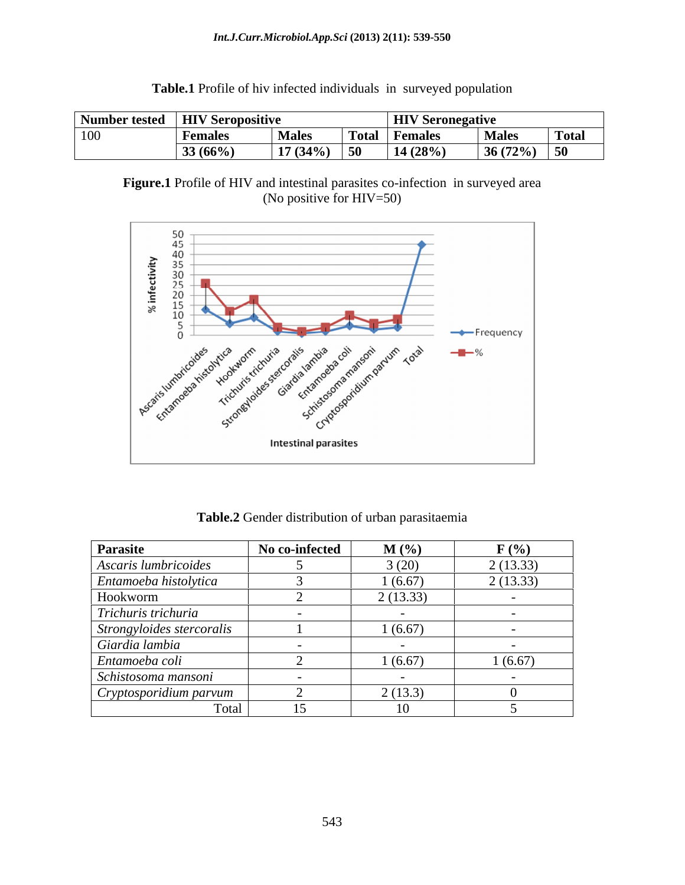#### *Int.J.Curr.Microbiol.App.Sci* **(2013) 2(11): 539-550**

| <b>Number tested</b> | <b>HIV Ser</b><br>seropositive |              |              | <b>HIV</b> Seronegative    |              |              |
|----------------------|--------------------------------|--------------|--------------|----------------------------|--------------|--------------|
| 100                  | <b>r</b> emales                | <b>Males</b> | <b>Total</b> | <b>Females</b>             | <b>Males</b> | <b>Total</b> |
|                      | 33 (66%)                       | 17(34%)      | 50           | $(28\%)$<br>$\blacksquare$ | 36(72%)      | - - -<br>ാ∪  |

**Table.1** Profile of hiv infected individuals in surveyed population





**Table.2** Gender distribution of urban parasitaemia

| Parasite                  | No co-infected | $M(\%)$  | $F(\%)$  |
|---------------------------|----------------|----------|----------|
| Ascaris lumbricoides      |                | 3(20)    | 2(13.33) |
| Entamoeba histolytica     |                | 1(6.67)  | 2(13.33) |
| Hookworm                  |                | 2(13.33) |          |
| Trichuris trichuria       |                |          |          |
| Strongyloides stercoralis |                | 1(6.67)  |          |
| Giardia lambia            |                |          |          |
| Entamoeba coli            |                | 1(6.67)  | 1(6.67)  |
| Schistosoma mansoni       |                |          |          |
| Cryptosporidium parvum    |                | 2(13.3)  |          |
| Total                     | 15             | 1V.      |          |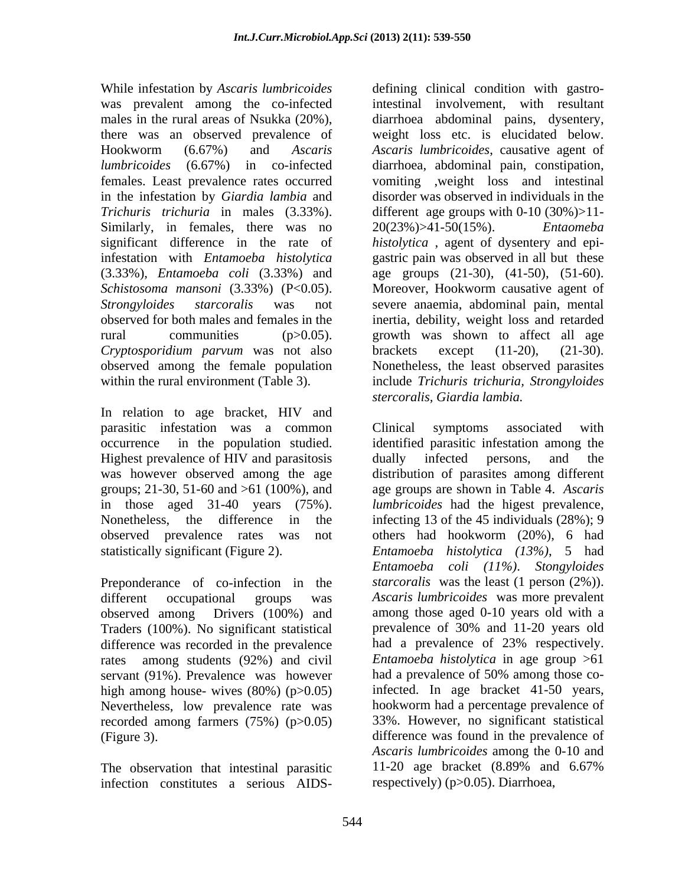While infestation by *Ascaris lumbricoides* defining clinical condition with gastroin the infestation by *Giardia lambia* and Similarly, in females, there was no  $20(23%) > 41-50(15%)$ . *Entameba Cryptosporidium parvum* was not also

In relation to age bracket, HIV and parasitic infestation was a common Highest prevalence of HIV and parasitosis and dually infected persons, and the groups; 21-30, 51-60 and >61 (100%), and

Preponderance of co-infection in the Traders (100%). No significant statistical prevalence of 30% and 11-20 years old difference was recorded in the prevalence servant (91%). Prevalence was however had a prevalence of 50% among those cohigh among house- wives  $(80\%)$  (p $>0.05$ ) Nevertheless, low prevalence rate was recorded among farmers (75%) (p>0.05)

infection constitutes a serious AIDS-

was prevalent among the co-infected intestinal involvement, with resultant males in the rural areas of Nsukka (20%), diarrhoea abdominal pains, dysentery, there was an observed prevalence of weight loss etc. is elucidated below. Hookworm (6.67%) and *Ascaris Ascaris lumbricoides*, causative agent of *lumbricoides* (6.67%) in co-infected diarrhoea, abdominal pain, constipation, females. Least prevalence rates occurred vomiting ,weight loss and intestinal *Trichuris trichuria* in males (3.33%). different age groups with 0-10 (30%)>11 significant difference in the rate of *histolytica* , agent of dysentery and epi infestation with *Entamoeba histolytica* gastric pain was observed in all but these (3.33%), *Entamoeba coli* (3.33%) and age groups (21-30), (41-50), (51-60). *Schistosoma mansoni* (3.33%) (P<0.05). Moreover, Hookworm causative agent of *Strongyloides starcoralis* was not severe anaemia, abdominal pain, mental observed for both males and females in the inertia, debility, weight loss and retarded rural communities (p>0.05). growth was shown to affect all age observed among the female population Nonetheless, the least observed parasites within the rural environment (Table 3). include *Trichuris trichuria, Strongyloides* disorder was observed in individuals in the 20(23%)>41-50(15%). brackets except (11-20), (21-30). *stercoralis, Giardia lambia.*

occurrence in the population studied. identified parasitic infestation among the was however observed among the age distribution of parasites among different in those aged 31-40 years (75%). *lumbricoides* had the higest prevalence, Nonetheless, the difference in the infecting 13 of the 45 individuals (28%); 9 observed prevalence rates was not others had hookworm (20%), 6 had statistically significant (Figure 2). *Entamoeba histolytica (13%)*, 5 had different occupational groups was *Ascaris lumbricoides* was more prevalent observed among Drivers (100%) and among those aged 0-10 years old with a rates among students (92%) and civil *Entamoeba histolytica* in age group >61 (Figure 3). difference was found in the prevalence of The observation that intestinal parasitic 11-20 age bracket (8.89% and 6.67%) Clinical symptoms associated with dually infected persons, and the age groups are shown in Table 4. *Ascaris Entamoeba coli (11%)*. *Stongyloides starcoralis* was the least (1 person (2%)). prevalence of 30% and 11-20 years old had a prevalence of 23% respectively. had a prevalence of 50% among those coinfected. In age bracket 41-50 years, hookworm had a percentage prevalence of 33%. However, no significant statistical *Ascaris lumbricoides* among the 0-10 and 11-20 age bracket (8.89% and 6.67% respectively) (p>0.05). Diarrhoea,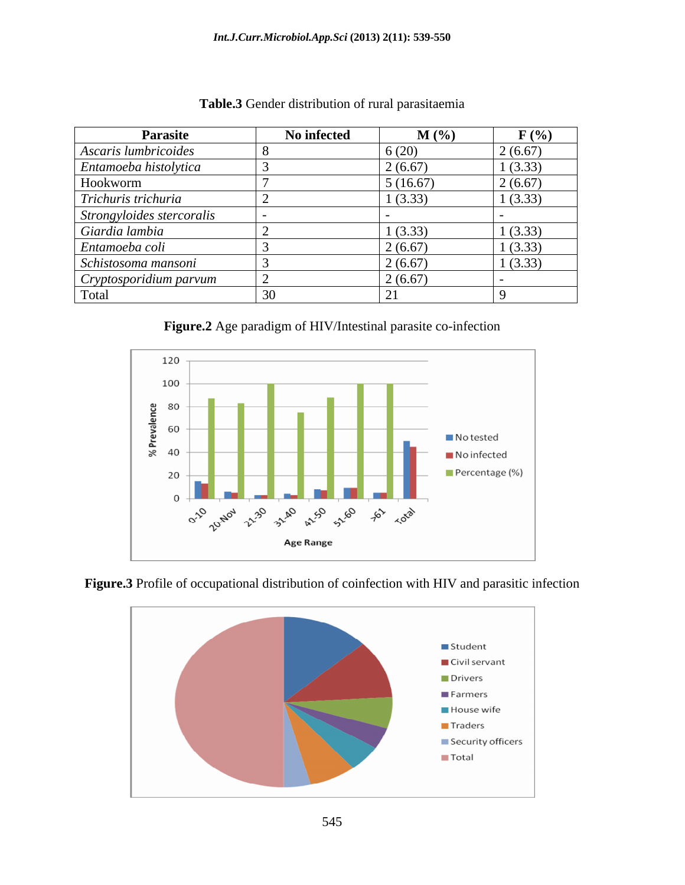| <b>Parasite</b>           | No infected | $M(\%)$  | $F(\%)$ |
|---------------------------|-------------|----------|---------|
| Ascaris lumbricoides      |             | 6(20)    | 2(6.67) |
| Entamoeba histolytica     |             | 2(6.67)  | 1(3.33) |
| Hookworm                  |             | 5(16.67) | 2(6.67) |
| Trichuris trichuria       |             | 1(3.33)  | 1(3.33) |
| Strongyloides stercoralis |             |          |         |
| Giardia lambia            |             | 1(3.33)  | 1(3.33) |
| Entamoeba coli            |             | 2(6.67)  | 1(3.33) |
| Schistosoma mansoni       |             | 2(6.67)  | 1(3.33) |
| Cryptosporidium parvum    |             | 2(6.67)  |         |
| Total                     |             |          |         |

**Table.3** Gender distribution of rural parasitaemia







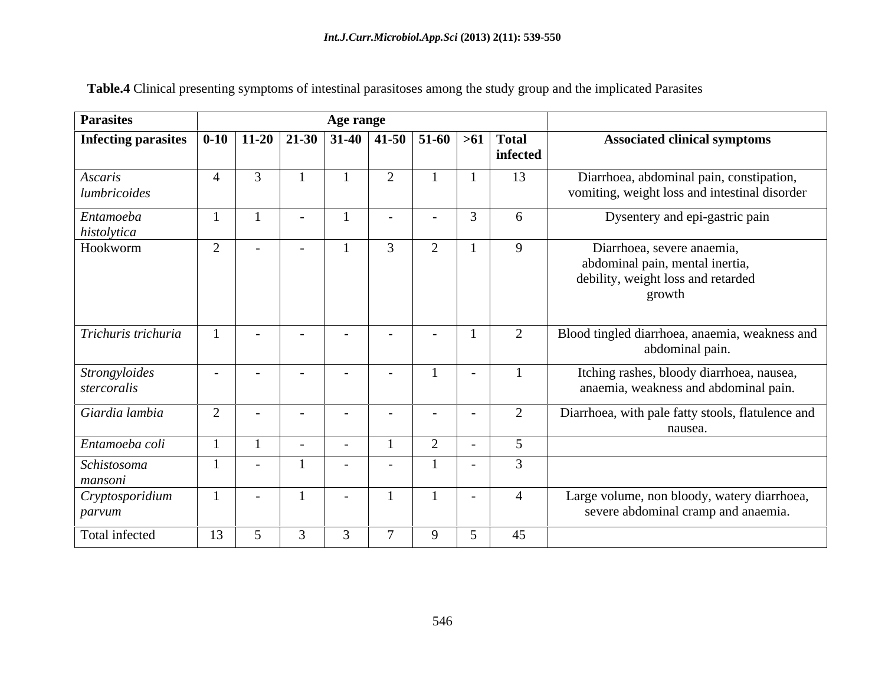| <b>Parasites</b>                                                                 |                | Age range      |                |                          |                |  |          |                |           |                                                                                                               |  |
|----------------------------------------------------------------------------------|----------------|----------------|----------------|--------------------------|----------------|--|----------|----------------|-----------|---------------------------------------------------------------------------------------------------------------|--|
| Infecting parasites   0-10   11-20   21-30   31-40   41-50   51-60   >61   Total |                |                |                |                          |                |  |          |                | infected  | <b>Associated clinical symptoms</b>                                                                           |  |
| Ascaris<br>lumbricoides                                                          | $\overline{4}$ | $\overline{3}$ |                |                          | 2              |  |          |                | 13        | Diarrhoea, abdominal pain, constipation,<br>vomiting, weight loss and intestinal disorder                     |  |
| Entamoeba<br>histolytica                                                         |                |                | $\sim$         |                          | $\sim$         |  |          | $\overline{2}$ | 6         | Dysentery and epi-gastric pain                                                                                |  |
| Hookworm                                                                         | $\overline{2}$ | $\sim$         | $\sim$         |                          | $\mathfrak{Z}$ |  | $\sim$   |                | 9         | Diarrhoea, severe anaemia,<br>abdominal pain, mental inertia,<br>debility, weight loss and retarded<br>growth |  |
| Trichuris trichuria                                                              |                | $\sim$         | $\overline{a}$ |                          | $\sim$         |  |          |                |           | Blood tingled diarrhoea, anaemia, weakness and<br>abdominal pain.                                             |  |
| Strongyloides<br>stercoralis                                                     | $\sim$ $-$     | $\sim$ $-$     | $\sim$         |                          | $\sim$         |  |          |                |           | Itching rashes, bloody diarrhoea, nausea,<br>anaemia, weakness and abdominal pain.                            |  |
| Giardia lambia                                                                   | 2              | $\sim$         | $\sim$         | $\overline{\phantom{0}}$ | $\sim$         |  |          |                | $\bigcap$ | Diarrhoea, with pale fatty stools, flatulence and<br>nausea.                                                  |  |
| Entamoeba coli                                                                   |                |                | $\sim$         |                          |                |  | $\gamma$ |                |           |                                                                                                               |  |
| Schistosoma<br>mansoni                                                           |                | $\sim$         |                |                          | $\sim$         |  |          | $\sim$         |           |                                                                                                               |  |
| Cryptosporidium<br>parvum                                                        |                | $\sim$         |                |                          |                |  |          |                |           | Large volume, non bloody, watery diarrhoea,<br>severe abdominal cramp and anaemia.                            |  |
| Total infected                                                                   | 13             | $\overline{5}$ | $\mathcal{R}$  |                          |                |  |          |                | 45        |                                                                                                               |  |

**Table.4** Clinical presenting symptoms of intestinal parasitoses among the study group and the implicated Parasites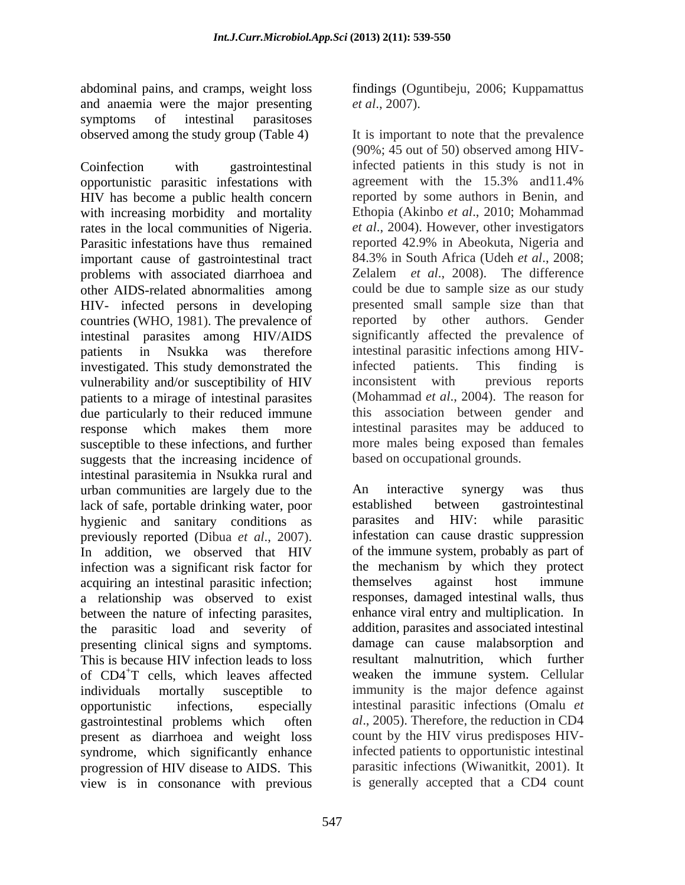and anaemia were the major presenting *et al.*, 2007). symptoms of intestinal parasitoses observed among the study group (Table 4) It is important to note that the prevalence

Coinfection with gastrointestinal infected patients in this study is not in opportunistic parasitic infestations with agreement with the 15.3% and 11.4% HIV has become a public health concern reported by some authors in Benin, and with increasing morbidity and mortality rates in the local communities of Nigeria. *et al*., 2004). However, other investigators Parasitic infestations have thus remained reported 42.9% in Abeokuta, Nigeria and important cause of gastrointestinal tract problems with associated diarrhoea and other AIDS-related abnormalities among could be due to sample sizeas our study HIV- infected persons in developing countries (WHO, 1981). The prevalence of intestinal parasites among HIV/AIDS patients in Nsukka was therefore intestinal parasitic infections among HIVinvestigated. This study demonstrated the infected patients. This finding is vulnerability and/or susceptibility of HIV inconsistent with previous reports vulnerability and/or susceptibility of HIV inconsistent with patients to a mirage of intestinal parasites due particularly to their reduced immune response which makes them more susceptible to these infections, and further more males being exposed than females suggests that the increasing incidence of intestinal parasitemia in Nsukka rural and urban communities are largely due to the a historical communities are largely due to the a historical communities are largely due to the stablished between gastrointestinal and the stablished between gastrointestinal lack of safe, portable drinking water, poor hygienic and sanitary conditions as previously reported (Dibua *et al*., 2007). In addition, we observed that HIV infection was a significant risk factor for<br>acquiring an intestinal parasitic infection: themselves against host immune acquiring an intestinal parasitic infection; a relationship was observed to exist between the nature of infecting parasites, the parasitic load and severity of addition, parasites and associated intestinal presenting clinical signs and symptoms. This is because HIV infection leads to loss of CD4+T cells, which leaves affected weaken the immune system. Cellular individuals mortally susceptible to immunity is the major defence against opportunistic infections, especially intestinal parasitic infections (Omalu *et*  gastrointestinal problems which often *al*., 2005). Therefore, the reduction in CD4 present as diarrhoea and weight loss syndrome, which significantly enhance progression of HIV disease to AIDS. This view is in consonance with previous

abdominal pains, and cramps, weight loss findings (Oguntibeju, 2006; Kuppamattus

*et al.*, 2007).<br>It is important to note that the prevalence (90%; 45 out of 50) observed among HIVagreement with the 15.3% and11.4% Ethopia (Akinbo *et al*., 2010; Mohammad 84.3% in South Africa (Udeh *et al*., 2008; Zelalem *et al*., 2008). The difference presented small sample size than that reported by other authors. Gender significantly affected the prevalence of infected patients. This finding is inconsistent with previous reports (Mohammad *et al*., 2004). The reason for this association between gender and intestinal parasites may be adduced to based on occupational grounds.

An interactive synergy was thus established between gastrointestinal parasites and HIV: while parasitic infestation can cause drastic suppression of the immune system, probably as part of the mechanism by which they protect themselves against host immune responses, damaged intestinal walls, thus enhance viral entry and multiplication. In damage can cause malabsorption and resultant malnutrition, which further count by the HIV virus predisposes HIVinfected patients to opportunistic intestinal parasitic infections (Wiwanitkit, 2001). It is generally accepted that a CD4 count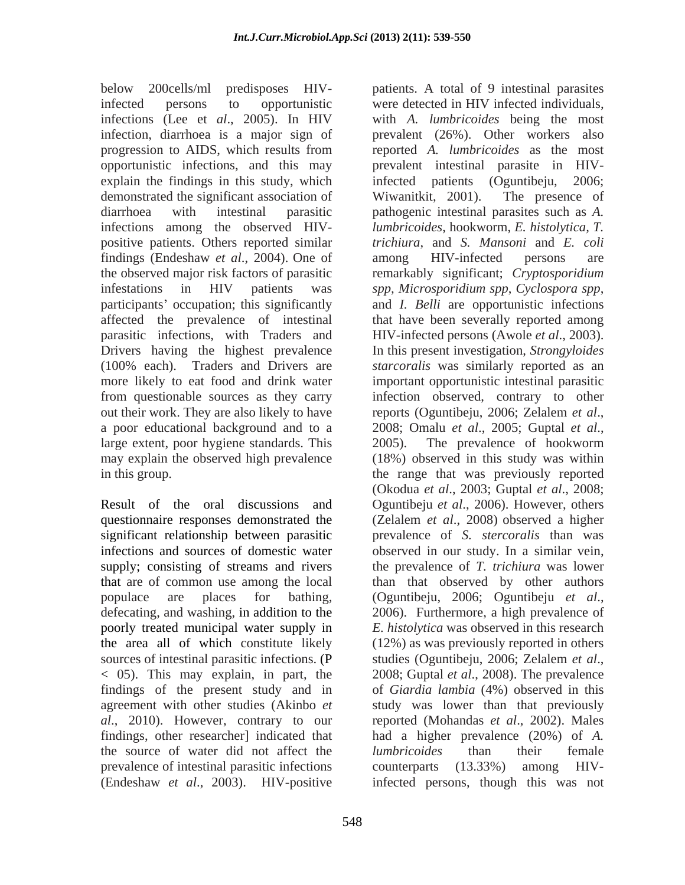below 200cells/ml predisposes HIV-patients. A total of 9 intestinal parasites explain the findings in this study, which infected patients (Oguntibeju, 2006; demonstrated the significant association of Wiwanitkit, 2001). The presence of positive patients. Others reported similar findings (Endeshaw *et al.*, 2004). One of among HIV-infected persons are infestations in HIV patients was spp, Microsporidium spp, Cyclospora spp, participants' occupation; this significantly and *I. Belli* are opportunistic infections out their work. They are also likely to have reports (Oguntibeju, 2006; Zelalem *et al.*, a poor educational background and to a 2008; Omalu et al., 2005; Guptal et al., large extent, poor hygiene standards. This 2005). The prevalence of hookworm may explain the observed high prevalence

populace are places for bathing, (Oguntibeju, 2006; Oguntibeju et al., defecating, and washing, in addition to the 2006). Furthermore, a high prevalence of the area all of which constitute likely sources of intestinal parasitic infections. (P studies (Oguntibeju, 2006; Zelalem *et al.*,  $<$  05). This may explain, in part, the 2008; Guptal *et al.*, 2008). The prevalence the source of water did not affect the *lumbricoides* than their female prevalence of intestinal parasitic infections counterparts (13.33%) among HIV-

infected persons to opportunistic were detected in HIV infected individuals, infections (Lee et *al*., 2005). In HIV with *A. lumbricoides* being the most infection, diarrhoea is a major sign of prevalent (26%). Other workers also progression to AIDS, which results from reported A. lumbricoides as the most opportunistic infections, and this may prevalent intestinal parasite in HIVdiarrhoea with intestinal parasitic pathogenic intestinal parasites such as *A.*  infections among the observed HIV- *lumbricoides*, hookworm, *E. histolytica, T.* the observed major risk factors of parasitic remarkably significant; *Cryptosporidium*  affected the prevalence of intestinal that have been severally reported among parasitic infections, with Traders and HIV-infected persons (Awole *et al*., 2003). Drivers having the highest prevalence In this present investigation, *Strongyloides*  (100% each). Traders and Drivers are *starcoralis* was similarly reported as an more likely to eat food and drink water important opportunistic intestinal parasitic from questionable sources as they carry infection observed, contrary to other in this group. the range that was previously reported Result of the oral discussions and Oguntibeju *et al*., 2006). However, others questionnaire responses demonstrated the (Zelalem *et al*., 2008) observed a higher significant relationship between parasitic prevalence of *S. stercoralis* than was infections and sources of domestic water observed in our study. In a similar vein, supply; consisting of streams and rivers the prevalence of *T. trichiura* was lower that are of common use among the local than that observed by other authors poorly treated municipal water supply in *E. histolytica* was observed in this research findings of the present study and in of *Giardia lambia* (4%) observed in this agreement with other studies (Akinbo *et*  study was lower than that previously *al*., 2010). However, contrary to our reported (Mohandas *et al*., 2002). Males findings, other researcher] indicated that had a higher prevalence(20%) of *A.*  (Endeshaw *et al*., 2003). HIV-positive infected persons, though this was notreported *A. lumbricoides* as the most infected patients (Oguntibeju, Wiwanitkit, 2001). The presence of *trichiura*, and *S. Mansoni* and *E. coli* among HIV-infected persons are *spp, Microsporidium spp*, *Cyclospora spp*, and *I. Belli* are opportunistic infections reports (Oguntibeju, 2006; Zelalem *et al*., 2008; Omalu *et al*., 2005; Guptal *et al*., 2005). The prevalence of hookworm (18%) observed in this study was within (Okodua *et al*., 2003; Guptal *et al*., 2008; (Oguntibeju, 2006; Oguntibeju *et al*., 2006). Furthermore, <sup>a</sup> high prevalence of (12%) as was previously reported in others studies (Oguntibeju, 2006; Zelalem *et al*., 2008; Guptal *et al*., 2008). The prevalence *lumbricoides* than their female counterparts (13.33%) among HIV-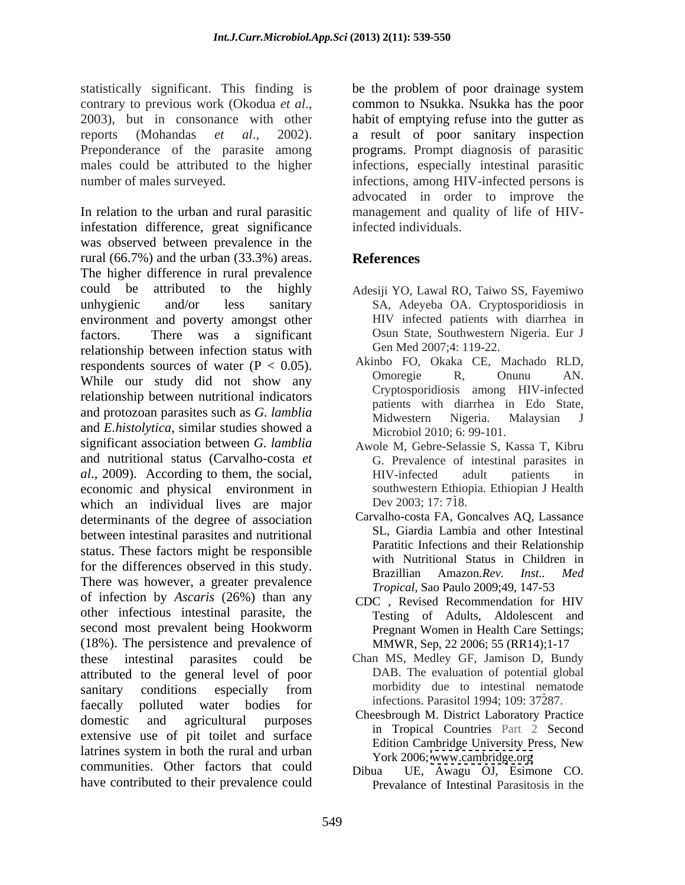statistically significant. This finding is be the problem of poor drainage system contrary to previous work (Okodua *et al.*, common to Nsukka. Nsukka has the poor 2003), but in consonance with other habit of emptying refuse into the gutter as reports (Mohandas *et al.*, 2002). a result of poor sanitary inspection<br>Preponderance of the parasite among programs. Prompt diagnosis of parasitic males could be attributed to the higher infections, especially intestinal parasitic number of males surveyed. infections, among HIV-infected persons is

In relation to the urban and rural parasitic management and quality of life of HIVinfestation difference, great significance was observed between prevalence in the rural (66.7%) and the urban (33.3%) areas. The higher difference in rural prevalence could be attributed to the highly Adesiji YO, Lawal RO, Taiwo SS, Fayemiwo unhygienic and/or less sanitary SA, Adeyeba OA. Cryptosporidiosis in environment and poverty amongst other factors. There was a significant Osun State, Southwestern Nigeria. Eur J relationship between infection status with respondents sources of water  $(P < 0.05)$ . AKINDO FO, OKAKA CE, MAChado KLD,<br>While are study did not show any more amplitude  $P$ , Onunu AN. While our study did not show any relationship between nutritional indicators and protozoan parasites such as *G. lamblia* Midwestern Migeria. Malaysian J and *E.histolytica*, similar studies showed a significant association between *G. lamblia* and nutritional status (Carvalho-costa *et al.*, 2009). According to them, the social, *HIV-infected* adult patients in economic and physical environment in which an individual lives are major determinants of the degree of association between intestinal parasites and nutritional status. These factors might be responsible for the differences observed in this study.<br>Brazillian Amazon.Rev. Inst.. Med There was however, a greater prevalence of infection by *Ascaris* (26%) than any other infectious intestinal parasite, the second most prevalent being Hookworm Pregnant Women in Health Care Settings; (18%). The persistence and prevalence of these intestinal parasites could be Chan MS, Medley GF, Jamison D, Bundy attributed to the general level of poor sanitary conditions especially from morbidity due to intestinal nematode faecally polluted water bodies for domestic and agricultural purposes Cheesbrough M. District Laboratory Practice extensive use of pit toilet and surface<br>Edition Cambridge University Press, New latrines system in both the rural and urban communities. Other factors that could Dibua have contributed to their prevalence could

common to Nsukka. Nsukka has the poor habit of emptying refuse into the gutter as a result of poor sanitary inspection programs. Prompt diagnosis of parasitic advocated in order to improve the infected individuals.

# **References**

- HIV infected patients with diarrhea in Gen Med 2007;4: 119-22.
- Akinbo FO, Okaka CE, Machado RLD, Omoregie R, Onunu AN. Cryptosporidiosis among HIV-infected patients with diarrhea in Edo State, Midwestern Nigeria. Malaysian J Microbiol 2010; 6: 99-101.
- Awole M, Gebre-Selassie S, Kassa T, Kibru G. Prevalence of intestinal parasites in HIV-infected adult patients in southwestern Ethiopia. Ethiopian J Health Dev 2003; 17: 718.
- Carvalho-costa FA, Goncalves AQ, Lassance SL, Giardia Lambia and other Intestinal Paratitic Infections and their Relationship with Nutritional Status in Children in Brazillian Amazon*.Rev. Inst.. Med Tropical,* Sao Paulo 2009;49, 147-53
- CDC , Revised Recommendation for HIV Testing of Adults, Aldolescent and Pregnant Women in Health Care Settings; MMWR, Sep, 22 2006; 55 (RR14);1-17
- DAB. The evaluation of potential global morbidity due to intestinal nematode infections. Parasitol 1994; 109: 37287.
- Cheesbrough M. District Laboratory Practice in Tropical Countries Part 2 Second Edition Cambridge University Press, New York 2006; [www.cambridge.org](http://www.cambridge.org)
- UE, Awagu OJ, Esimone CO. Prevalance of Intestinal Parasitosis in the